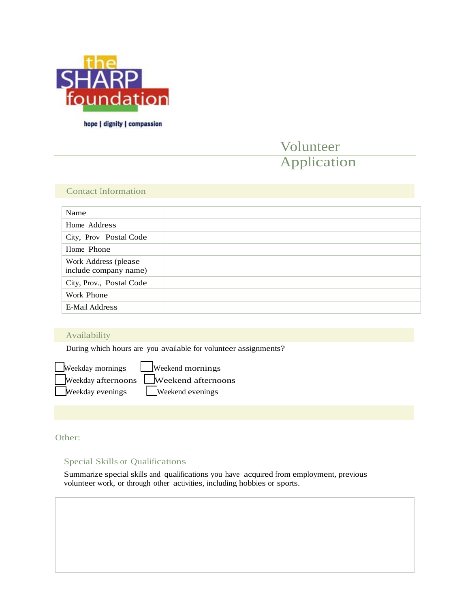

hope | dignity | compassion

# Volunteer Application

## Contact Information

| Name                                          |  |
|-----------------------------------------------|--|
| Home Address                                  |  |
| City, Prov Postal Code                        |  |
| Home Phone                                    |  |
| Work Address (please<br>include company name) |  |
| City, Prov., Postal Code                      |  |
| Work Phone                                    |  |
| E-Mail Address                                |  |

# Availability

During which hours are you available for volunteer assignments?

Weekday mornings Uweekend mornings Weekday afternoons Weekend afternoons Weekday evenings Weekend evenings

Other:

# Special Skills or Qualifications

Summarize special skills and qualifications you have acquired from employment, previous volunteer work, or through other activities, including hobbies or sports.